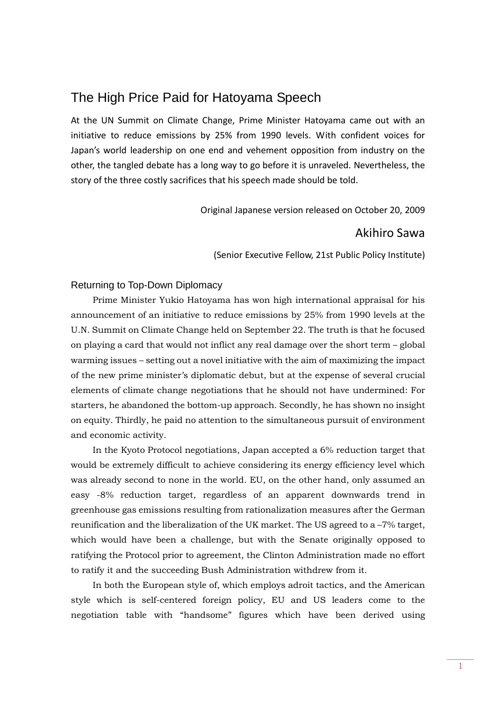# The High Price Paid for Hatoyama Speech

At the UN Summit on Climate Change, Prime Minister Hatoyama came out with an initiative to reduce emissions by 25% from 1990 levels. With confident voices for Japan's world leadership on one end and vehement opposition from industry on the other, the tangled debate has a long way to go before it is unraveled. Nevertheless, the story of the three costly sacrifices that his speech made should be told.

Original Japanese version released on October 20, 2009

# Akihiro Sawa

(Senior Executive Fellow, 21st Public Policy Institute)

# Returning to Top-Down Diplomacy

 Prime Minister Yukio Hatoyama has won high international appraisal for his announcement of an initiative to reduce emissions by 25% from 1990 levels at the U.N. Summit on Climate Change held on September 22. The truth is that he focused on playing a card that would not inflict any real damage over the short term – global warming issues – setting out a novel initiative with the aim of maximizing the impact of the new prime minister's diplomatic debut, but at the expense of several crucial elements of climate change negotiations that he should not have undermined: For starters, he abandoned the bottom-up approach. Secondly, he has shown no insight on equity. Thirdly, he paid no attention to the simultaneous pursuit of environment and economic activity.

 In the Kyoto Protocol negotiations, Japan accepted a 6% reduction target that would be extremely difficult to achieve considering its energy efficiency level which was already second to none in the world. EU, on the other hand, only assumed an easy -8% reduction target, regardless of an apparent downwards trend in greenhouse gas emissions resulting from rationalization measures after the German reunification and the liberalization of the UK market. The US agreed to a –7% target, which would have been a challenge, but with the Senate originally opposed to ratifying the Protocol prior to agreement, the Clinton Administration made no effort to ratify it and the succeeding Bush Administration withdrew from it.

 In both the European style of, which employs adroit tactics, and the American style which is self-centered foreign policy, EU and US leaders come to the negotiation table with "handsome" figures which have been derived using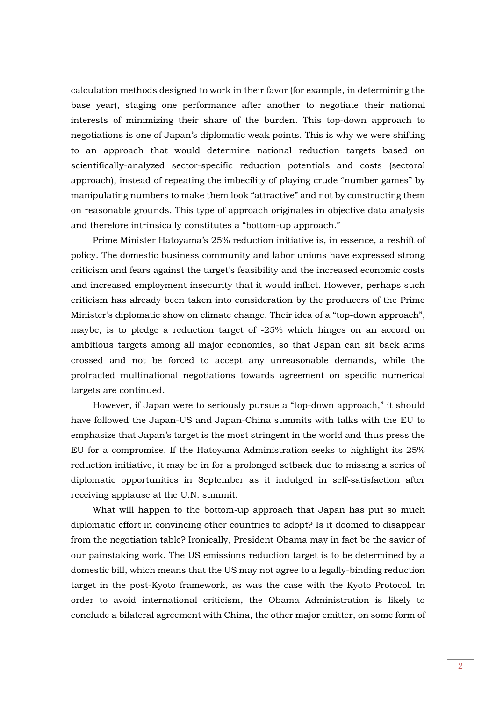calculation methods designed to work in their favor (for example, in determining the base year), staging one performance after another to negotiate their national interests of minimizing their share of the burden. This top-down approach to negotiations is one of Japan's diplomatic weak points. This is why we were shifting to an approach that would determine national reduction targets based on scientifically-analyzed sector-specific reduction potentials and costs (sectoral approach), instead of repeating the imbecility of playing crude "number games" by manipulating numbers to make them look "attractive" and not by constructing them on reasonable grounds. This type of approach originates in objective data analysis and therefore intrinsically constitutes a "bottom-up approach."

 Prime Minister Hatoyama's 25% reduction initiative is, in essence, a reshift of policy. The domestic business community and labor unions have expressed strong criticism and fears against the target's feasibility and the increased economic costs and increased employment insecurity that it would inflict. However, perhaps such criticism has already been taken into consideration by the producers of the Prime Minister's diplomatic show on climate change. Their idea of a "top-down approach", maybe, is to pledge a reduction target of -25% which hinges on an accord on ambitious targets among all major economies, so that Japan can sit back arms crossed and not be forced to accept any unreasonable demands, while the protracted multinational negotiations towards agreement on specific numerical targets are continued.

 However, if Japan were to seriously pursue a "top-down approach," it should have followed the Japan-US and Japan-China summits with talks with the EU to emphasize that Japan's target is the most stringent in the world and thus press the EU for a compromise. If the Hatoyama Administration seeks to highlight its 25% reduction initiative, it may be in for a prolonged setback due to missing a series of diplomatic opportunities in September as it indulged in self-satisfaction after receiving applause at the U.N. summit.

 What will happen to the bottom-up approach that Japan has put so much diplomatic effort in convincing other countries to adopt? Is it doomed to disappear from the negotiation table? Ironically, President Obama may in fact be the savior of our painstaking work. The US emissions reduction target is to be determined by a domestic bill, which means that the US may not agree to a legally-binding reduction target in the post-Kyoto framework, as was the case with the Kyoto Protocol. In order to avoid international criticism, the Obama Administration is likely to conclude a bilateral agreement with China, the other major emitter, on some form of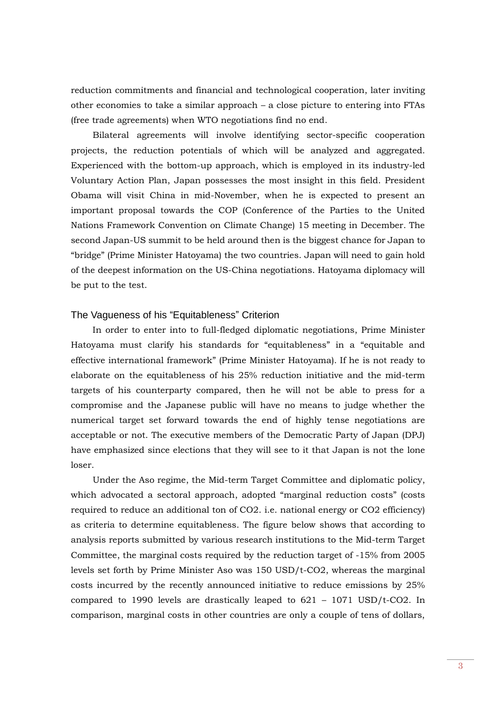reduction commitments and financial and technological cooperation, later inviting other economies to take a similar approach – a close picture to entering into FTAs (free trade agreements) when WTO negotiations find no end.

 Bilateral agreements will involve identifying sector-specific cooperation projects, the reduction potentials of which will be analyzed and aggregated. Experienced with the bottom-up approach, which is employed in its industry-led Voluntary Action Plan, Japan possesses the most insight in this field. President Obama will visit China in mid-November, when he is expected to present an important proposal towards the COP (Conference of the Parties to the United Nations Framework Convention on Climate Change) 15 meeting in December. The second Japan-US summit to be held around then is the biggest chance for Japan to "bridge" (Prime Minister Hatoyama) the two countries. Japan will need to gain hold of the deepest information on the US-China negotiations. Hatoyama diplomacy will be put to the test.

#### The Vagueness of his "Equitableness" Criterion

 In order to enter into to full-fledged diplomatic negotiations, Prime Minister Hatoyama must clarify his standards for "equitableness" in a "equitable and effective international framework" (Prime Minister Hatoyama). If he is not ready to elaborate on the equitableness of his 25% reduction initiative and the mid-term targets of his counterparty compared, then he will not be able to press for a compromise and the Japanese public will have no means to judge whether the numerical target set forward towards the end of highly tense negotiations are acceptable or not. The executive members of the Democratic Party of Japan (DPJ) have emphasized since elections that they will see to it that Japan is not the lone loser.

 Under the Aso regime, the Mid-term Target Committee and diplomatic policy, which advocated a sectoral approach, adopted "marginal reduction costs" (costs required to reduce an additional ton of CO2. i.e. national energy or CO2 efficiency) as criteria to determine equitableness. The figure below shows that according to analysis reports submitted by various research institutions to the Mid-term Target Committee, the marginal costs required by the reduction target of -15% from 2005 levels set forth by Prime Minister Aso was 150 USD/t-CO2, whereas the marginal costs incurred by the recently announced initiative to reduce emissions by 25% compared to 1990 levels are drastically leaped to  $621 - 1071$  USD/t-CO2. In comparison, marginal costs in other countries are only a couple of tens of dollars,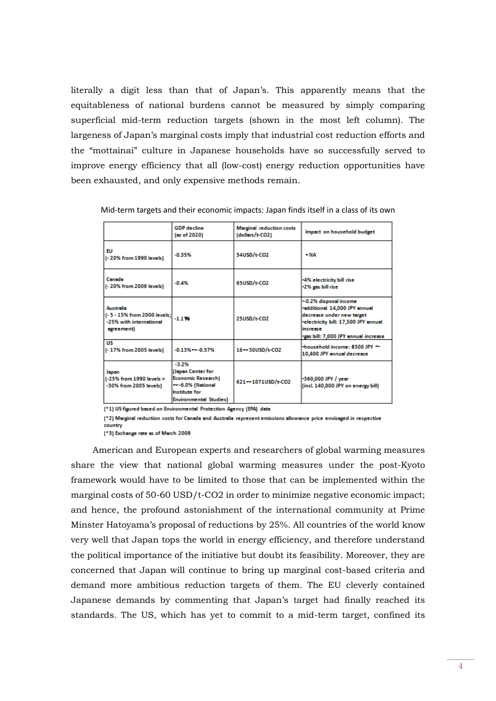literally a digit less than that of Japan's. This apparently means that the equitableness of national burdens cannot be measured by simply comparing superficial mid-term reduction targets (shown in the most left column). The largeness of Japan's marginal costs imply that industrial cost reduction efforts and the "mottainai" culture in Japanese households have so successfully served to improve energy efficiency that all (low-cost) energy reduction opportunities have been exhausted, and only expensive methods remain.

|                                                                                          | <b>GDP</b> decline<br>(as of 2020)                                                                                               | <b>Marginal reduction costs</b><br>(dollars/t-CO2) | Impact on household budget                                                                                                                                                       |  |
|------------------------------------------------------------------------------------------|----------------------------------------------------------------------------------------------------------------------------------|----------------------------------------------------|----------------------------------------------------------------------------------------------------------------------------------------------------------------------------------|--|
| FU<br>(- 20% from 1990 levels)                                                           | $-0.35%$                                                                                                                         | 54USD/t-CO2                                        | $-MA$                                                                                                                                                                            |  |
| Canada<br>(-20% from 2006 levels)                                                        | $-0.4%$                                                                                                                          | 65USD/t-CO2                                        | -4% electricity bill rise<br>-2% gas bill rise                                                                                                                                   |  |
| <b>Australia</b><br>(-5 - 15% from 2000 levels;<br>-25% with international<br>agreement) | $-1.1%$                                                                                                                          | 25USD/t-CO2                                        | -0.2% disposal income<br>·additional 14,000 JPY annual<br>decrease under new target<br>-electricity bill: 17,500 JPY annual<br>lincrease<br>-gas bill: 7,000 JPY annual increase |  |
| <b>US</b><br>(-17% from 2005 levels)                                                     | $-0.13% - 0.57%$                                                                                                                 | 16 - 30USD/t-CO2                                   | household income: 8300 JPY ~<br>10,400 JPY annual decrease                                                                                                                       |  |
| Japan<br>(-25% from 1990 levels =<br>-30% from 2005 levels)                              | $-3.2%$<br>(Japan Center for<br><b>Economic Research)</b><br>- -6.0% (National<br>Institute for<br><b>Environmental Studies)</b> | 621 - 1071USD/t-CO2                                | -360,000 JPY / year<br>(incl. 140,000 JPY on energy bill)                                                                                                                        |  |

Mid-term targets and their economic impacts: Japan finds itself in a class of its own

(\*1) US figured based on Environmental Protection Agency (EPA) data

(\*2) Marginal reduction costs for Canada and Australia represent emissions allowance price envisaged in respective

country (\*3) Exchange rate as of March 2009

 American and European experts and researchers of global warming measures share the view that national global warming measures under the post-Kyoto framework would have to be limited to those that can be implemented within the marginal costs of 50-60 USD/t-CO2 in order to minimize negative economic impact; and hence, the profound astonishment of the international community at Prime Minster Hatoyama's proposal of reductions by 25%. All countries of the world know very well that Japan tops the world in energy efficiency, and therefore understand the political importance of the initiative but doubt its feasibility. Moreover, they are concerned that Japan will continue to bring up marginal cost-based criteria and demand more ambitious reduction targets of them. The EU cleverly contained Japanese demands by commenting that Japan's target had finally reached its standards. The US, which has yet to commit to a mid-term target, confined its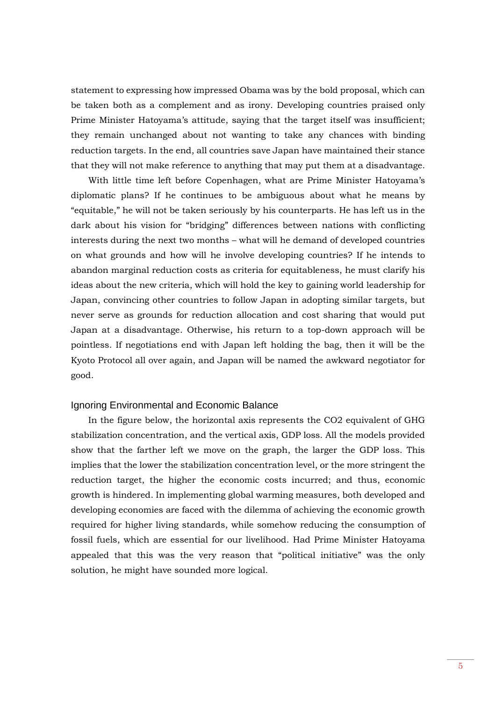statement to expressing how impressed Obama was by the bold proposal, which can be taken both as a complement and as irony. Developing countries praised only Prime Minister Hatoyama's attitude, saying that the target itself was insufficient; they remain unchanged about not wanting to take any chances with binding reduction targets. In the end, all countries save Japan have maintained their stance that they will not make reference to anything that may put them at a disadvantage.

 With little time left before Copenhagen, what are Prime Minister Hatoyama's diplomatic plans? If he continues to be ambiguous about what he means by "equitable," he will not be taken seriously by his counterparts. He has left us in the dark about his vision for "bridging" differences between nations with conflicting interests during the next two months – what will he demand of developed countries on what grounds and how will he involve developing countries? If he intends to abandon marginal reduction costs as criteria for equitableness, he must clarify his ideas about the new criteria, which will hold the key to gaining world leadership for Japan, convincing other countries to follow Japan in adopting similar targets, but never serve as grounds for reduction allocation and cost sharing that would put Japan at a disadvantage. Otherwise, his return to a top-down approach will be pointless. If negotiations end with Japan left holding the bag, then it will be the Kyoto Protocol all over again, and Japan will be named the awkward negotiator for good.

# Ignoring Environmental and Economic Balance

 In the figure below, the horizontal axis represents the CO2 equivalent of GHG stabilization concentration, and the vertical axis, GDP loss. All the models provided show that the farther left we move on the graph, the larger the GDP loss. This implies that the lower the stabilization concentration level, or the more stringent the reduction target, the higher the economic costs incurred; and thus, economic growth is hindered. In implementing global warming measures, both developed and developing economies are faced with the dilemma of achieving the economic growth required for higher living standards, while somehow reducing the consumption of fossil fuels, which are essential for our livelihood. Had Prime Minister Hatoyama appealed that this was the very reason that "political initiative" was the only solution, he might have sounded more logical.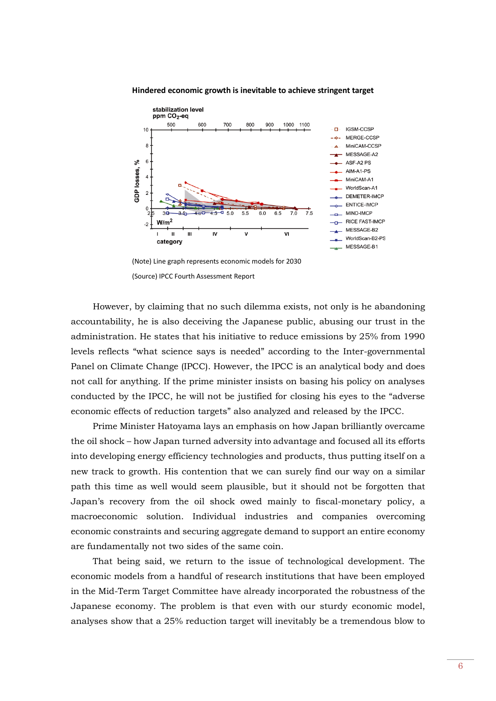

**Hindered economic growth is inevitable to achieve stringent target**

(Note) Line graph represents economic models for 2030 (Source) IPCC Fourth Assessment Report

 However, by claiming that no such dilemma exists, not only is he abandoning accountability, he is also deceiving the Japanese public, abusing our trust in the administration. He states that his initiative to reduce emissions by 25% from 1990 levels reflects "what science says is needed" according to the Inter-governmental Panel on Climate Change (IPCC). However, the IPCC is an analytical body and does not call for anything. If the prime minister insists on basing his policy on analyses conducted by the IPCC, he will not be justified for closing his eyes to the "adverse economic effects of reduction targets" also analyzed and released by the IPCC.

 Prime Minister Hatoyama lays an emphasis on how Japan brilliantly overcame the oil shock – how Japan turned adversity into advantage and focused all its efforts into developing energy efficiency technologies and products, thus putting itself on a new track to growth. His contention that we can surely find our way on a similar path this time as well would seem plausible, but it should not be forgotten that Japan's recovery from the oil shock owed mainly to fiscal-monetary policy, a macroeconomic solution. Individual industries and companies overcoming economic constraints and securing aggregate demand to support an entire economy are fundamentally not two sides of the same coin.

 That being said, we return to the issue of technological development. The economic models from a handful of research institutions that have been employed in the Mid-Term Target Committee have already incorporated the robustness of the Japanese economy. The problem is that even with our sturdy economic model, analyses show that a 25% reduction target will inevitably be a tremendous blow to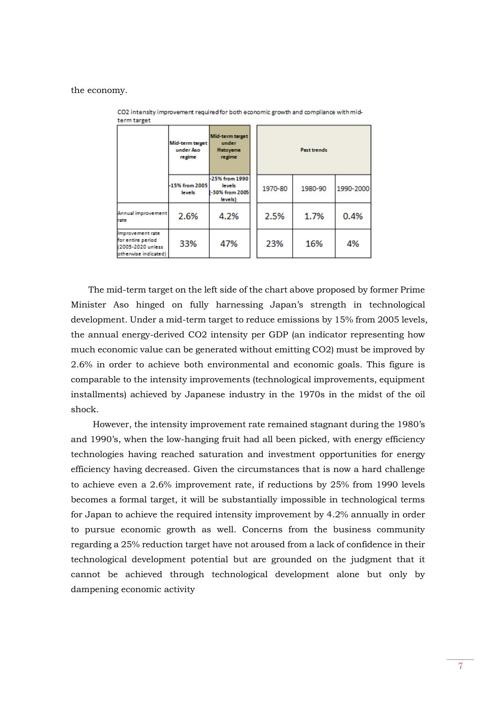the economy.

| term target                                                                        |                                        |                                                                      |  |                    |         |           |  |  |
|------------------------------------------------------------------------------------|----------------------------------------|----------------------------------------------------------------------|--|--------------------|---------|-----------|--|--|
|                                                                                    | Mid-term target<br>under Aso<br>regime | Mid-term target<br>under<br>Hatoyama<br>regime                       |  | <b>Past trends</b> |         |           |  |  |
|                                                                                    | -15% from 2005<br>lewels               | -25% from 1990<br><b>levels</b><br><b>1-30% from 2005</b><br>levels) |  | 1970-80            | 1980-90 | 1990-2000 |  |  |
| Annual improvement<br>rate                                                         | 2.6%                                   | 4.2%                                                                 |  | 2.5%               | 1.7%    | 0.4%      |  |  |
| Improvement rate<br>for entire period<br>(2005-2020 unless<br>otherwise indicated) | 33%                                    | 47%                                                                  |  | 23%                | 16%     | 4%        |  |  |

CO2 intensity improvement required for both economic growth and compliance with mid-

 The mid-term target on the left side of the chart above proposed by former Prime Minister Aso hinged on fully harnessing Japan's strength in technological development. Under a mid-term target to reduce emissions by 15% from 2005 levels, the annual energy-derived CO2 intensity per GDP (an indicator representing how much economic value can be generated without emitting CO2) must be improved by 2.6% in order to achieve both environmental and economic goals. This figure is comparable to the intensity improvements (technological improvements, equipment installments) achieved by Japanese industry in the 1970s in the midst of the oil shock.

 However, the intensity improvement rate remained stagnant during the 1980's and 1990's, when the low-hanging fruit had all been picked, with energy efficiency technologies having reached saturation and investment opportunities for energy efficiency having decreased. Given the circumstances that is now a hard challenge to achieve even a 2.6% improvement rate, if reductions by 25% from 1990 levels becomes a formal target, it will be substantially impossible in technological terms for Japan to achieve the required intensity improvement by 4.2% annually in order to pursue economic growth as well. Concerns from the business community regarding a 25% reduction target have not aroused from a lack of confidence in their technological development potential but are grounded on the judgment that it cannot be achieved through technological development alone but only by dampening economic activity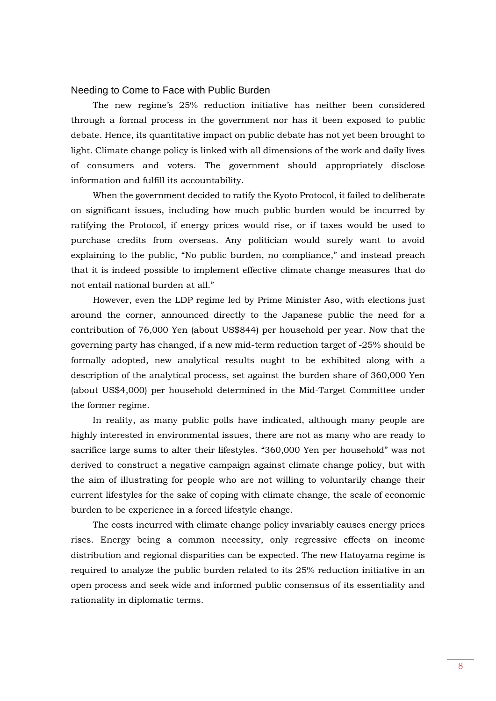# Needing to Come to Face with Public Burden

 The new regime's 25% reduction initiative has neither been considered through a formal process in the government nor has it been exposed to public debate. Hence, its quantitative impact on public debate has not yet been brought to light. Climate change policy is linked with all dimensions of the work and daily lives of consumers and voters. The government should appropriately disclose information and fulfill its accountability.

 When the government decided to ratify the Kyoto Protocol, it failed to deliberate on significant issues, including how much public burden would be incurred by ratifying the Protocol, if energy prices would rise, or if taxes would be used to purchase credits from overseas. Any politician would surely want to avoid explaining to the public, "No public burden, no compliance," and instead preach that it is indeed possible to implement effective climate change measures that do not entail national burden at all."

 However, even the LDP regime led by Prime Minister Aso, with elections just around the corner, announced directly to the Japanese public the need for a contribution of 76,000 Yen (about US\$844) per household per year. Now that the governing party has changed, if a new mid-term reduction target of -25% should be formally adopted, new analytical results ought to be exhibited along with a description of the analytical process, set against the burden share of 360,000 Yen (about US\$4,000) per household determined in the Mid-Target Committee under the former regime.

 In reality, as many public polls have indicated, although many people are highly interested in environmental issues, there are not as many who are ready to sacrifice large sums to alter their lifestyles. "360,000 Yen per household" was not derived to construct a negative campaign against climate change policy, but with the aim of illustrating for people who are not willing to voluntarily change their current lifestyles for the sake of coping with climate change, the scale of economic burden to be experience in a forced lifestyle change.

 The costs incurred with climate change policy invariably causes energy prices rises. Energy being a common necessity, only regressive effects on income distribution and regional disparities can be expected. The new Hatoyama regime is required to analyze the public burden related to its 25% reduction initiative in an open process and seek wide and informed public consensus of its essentiality and rationality in diplomatic terms.